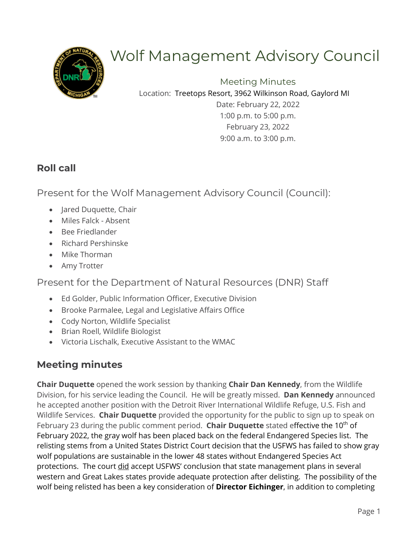

# Wolf Management Advisory Council

Meeting Minutes Location: Treetops Resort, 3962 Wilkinson Road, Gaylord MI

Date: February 22, 2022 1:00 p.m. to 5:00 p.m. February 23, 2022 9:00 a.m. to 3:00 p.m.

## **Roll call**

Present for the Wolf Management Advisory Council (Council):

- Jared Duquette, Chair
- Miles Falck Absent
- Bee Friedlander
- Richard Pershinske
- Mike Thorman
- Amy Trotter

Present for the Department of Natural Resources (DNR) Staff

- Ed Golder, Public Information Officer, Executive Division
- Brooke Parmalee, Legal and Legislative Affairs Office
- Cody Norton, Wildlife Specialist
- Brian Roell, Wildlife Biologist
- Victoria Lischalk, Executive Assistant to the WMAC

## **Meeting minutes**

**Chair Duquette** opened the work session by thanking **Chair Dan Kennedy**, from the Wildlife Division, for his service leading the Council. He will be greatly missed. **Dan Kennedy** announced he accepted another position with the Detroit River International Wildlife Refuge, U.S. Fish and Wildlife Services. **Chair Duquette** provided the opportunity for the public to sign up to speak on February 23 during the public comment period. **Chair Duquette** stated effective the 10<sup>th</sup> of February 2022, the gray wolf has been placed back on the federal Endangered Species list. The relisting stems from a United States District Court decision that the USFWS has failed to show gray wolf populations are sustainable in the lower 48 states without Endangered Species Act protections. The court did accept USFWS' conclusion that state management plans in several western and Great Lakes states provide adequate protection after delisting. The possibility of the wolf being relisted has been a key consideration of **Director Eichinger**, in addition to completing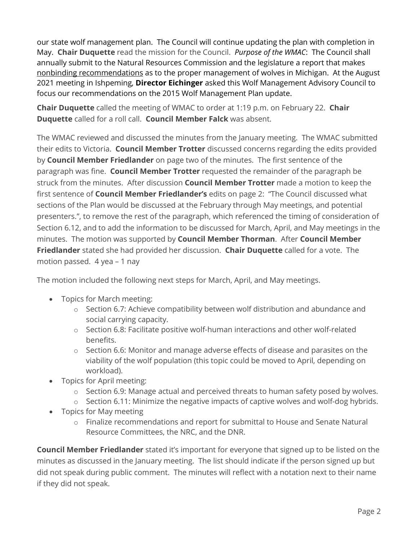our state wolf management plan. The Council will continue updating the plan with completion in May. **Chair Duquette** read the mission for the Council. *Purpose of the WMAC*: The Council shall annually submit to the Natural Resources Commission and the legislature a report that makes nonbinding recommendations as to the proper management of wolves in Michigan. At the August 2021 meeting in Ishpeming, **Director Eichinger** asked this Wolf Management Advisory Council to focus our recommendations on the 2015 Wolf Management Plan update.

**Chair Duquette** called the meeting of WMAC to order at 1:19 p.m. on February 22. **Chair Duquette** called for a roll call. **Council Member Falck** was absent.

The WMAC reviewed and discussed the minutes from the January meeting. The WMAC submitted their edits to Victoria. **Council Member Trotter** discussed concerns regarding the edits provided by **Council Member Friedlander** on page two of the minutes. The first sentence of the paragraph was fine. **Council Member Trotter** requested the remainder of the paragraph be struck from the minutes. After discussion **Council Member Trotter** made a motion to keep the first sentence of **Council Member Friedlander's** edits on page 2: "The Council discussed what sections of the Plan would be discussed at the February through May meetings, and potential presenters.", to remove the rest of the paragraph, which referenced the timing of consideration of Section 6.12, and to add the information to be discussed for March, April, and May meetings in the minutes. The motion was supported by **Council Member Thorman**. After **Council Member Friedlander** stated she had provided her discussion. **Chair Duquette** called for a vote. The motion passed. 4 yea – 1 nay

The motion included the following next steps for March, April, and May meetings.

- Topics for March meeting:
	- o Section 6.7: Achieve compatibility between wolf distribution and abundance and social carrying capacity.
	- o Section 6.8: Facilitate positive wolf-human interactions and other wolf-related benefits.
	- $\circ$  Section 6.6: Monitor and manage adverse effects of disease and parasites on the viability of the wolf population (this topic could be moved to April, depending on workload).
- Topics for April meeting:
	- $\circ$  Section 6.9: Manage actual and perceived threats to human safety posed by wolves.
	- o Section 6.11: Minimize the negative impacts of captive wolves and wolf-dog hybrids.
- Topics for May meeting
	- o Finalize recommendations and report for submittal to House and Senate Natural Resource Committees, the NRC, and the DNR.

**Council Member Friedlander** stated it's important for everyone that signed up to be listed on the minutes as discussed in the January meeting. The list should indicate if the person signed up but did not speak during public comment. The minutes will reflect with a notation next to their name if they did not speak.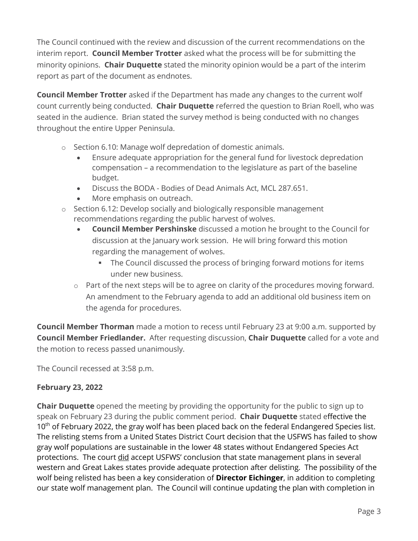The Council continued with the review and discussion of the current recommendations on the interim report. **Council Member Trotter** asked what the process will be for submitting the minority opinions. **Chair Duquette** stated the minority opinion would be a part of the interim report as part of the document as endnotes.

**Council Member Trotter** asked if the Department has made any changes to the current wolf count currently being conducted. **Chair Duquette** referred the question to Brian Roell, who was seated in the audience. Brian stated the survey method is being conducted with no changes throughout the entire Upper Peninsula.

- o Section 6.10: Manage wolf depredation of domestic animals.
	- Ensure adequate appropriation for the general fund for livestock depredation compensation – a recommendation to the legislature as part of the baseline budget.
	- Discuss the BODA Bodies of Dead Animals Act, MCL 287.651.
	- More emphasis on outreach.
- o Section 6.12: Develop socially and biologically responsible management recommendations regarding the public harvest of wolves.
	- **Council Member Pershinske** discussed a motion he brought to the Council for discussion at the January work session. He will bring forward this motion regarding the management of wolves.
		- The Council discussed the process of bringing forward motions for items under new business.
	- o Part of the next steps will be to agree on clarity of the procedures moving forward. An amendment to the February agenda to add an additional old business item on the agenda for procedures.

**Council Member Thorman** made a motion to recess until February 23 at 9:00 a.m. supported by **Council Member Friedlander.** After requesting discussion, **Chair Duquette** called for a vote and the motion to recess passed unanimously.

The Council recessed at 3:58 p.m.

#### **February 23, 2022**

**Chair Duquette** opened the meeting by providing the opportunity for the public to sign up to speak on February 23 during the public comment period. **Chair Duquette** stated effective the 10<sup>th</sup> of February 2022, the gray wolf has been placed back on the federal Endangered Species list. The relisting stems from a United States District Court decision that the USFWS has failed to show gray wolf populations are sustainable in the lower 48 states without Endangered Species Act protections. The court did accept USFWS' conclusion that state management plans in several western and Great Lakes states provide adequate protection after delisting. The possibility of the wolf being relisted has been a key consideration of **Director Eichinger**, in addition to completing our state wolf management plan. The Council will continue updating the plan with completion in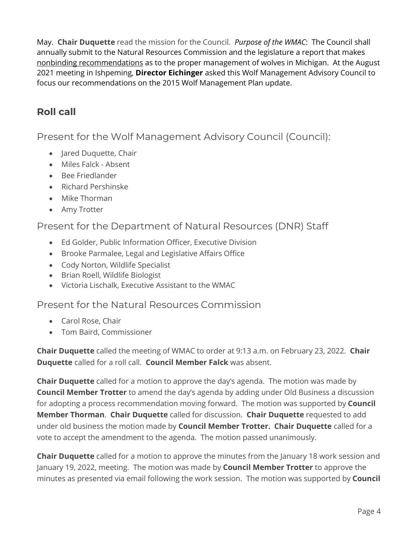May. **Chair Duquette** read the mission for the Council. *Purpose of the WMAC*: The Council shall annually submit to the Natural Resources Commission and the legislature a report that makes nonbinding recommendations as to the proper management of wolves in Michigan. At the August 2021 meeting in Ishpeming, **Director Eichinger** asked this Wolf Management Advisory Council to focus our recommendations on the 2015 Wolf Management Plan update.

## **Roll call**

Present for the Wolf Management Advisory Council (Council):

- Jared Duquette, Chair
- Miles Falck Absent
- Bee Friedlander
- Richard Pershinske
- Mike Thorman
- Amy Trotter

### Present for the Department of Natural Resources (DNR) Staff

- Ed Golder, Public Information Officer, Executive Division
- Brooke Parmalee, Legal and Legislative Affairs Office
- Cody Norton, Wildlife Specialist
- Brian Roell, Wildlife Biologist
- Victoria Lischalk, Executive Assistant to the WMAC

### Present for the Natural Resources Commission

- Carol Rose, Chair
- Tom Baird, Commissioner

**Chair Duquette** called the meeting of WMAC to order at 9:13 a.m. on February 23, 2022. **Chair Duquette** called for a roll call. **Council Member Falck** was absent.

**Chair Duquette** called for a motion to approve the day's agenda. The motion was made by **Council Member Trotter** to amend the day's agenda by adding under Old Business a discussion for adopting a process recommendation moving forward. The motion was supported by **Council Member Thorman**. **Chair Duquette** called for discussion. **Chair Duquette** requested to add under old business the motion made by **Council Member Trotter. Chair Duquette** called for a vote to accept the amendment to the agenda. The motion passed unanimously.

**Chair Duquette** called for a motion to approve the minutes from the January 18 work session and January 19, 2022, meeting. The motion was made by **Council Member Trotter** to approve the minutes as presented via email following the work session. The motion was supported by **Council**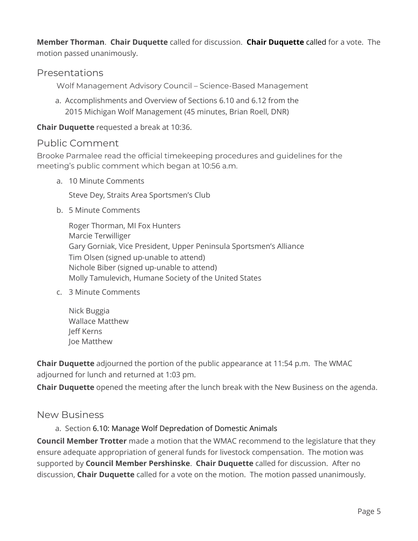**Member Thorman**. **Chair Duquette** called for discussion. **Chair Duquette** called for a vote. The motion passed unanimously.

#### Presentations

Wolf Management Advisory Council – Science-Based Management

a. Accomplishments and Overview of Sections 6.10 and 6.12 from the 2015 Michigan Wolf Management (45 minutes, Brian Roell, DNR)

#### **Chair Duquette** requested a break at 10:36.

#### Public Comment

Brooke Parmalee read the official timekeeping procedures and guidelines for the meeting's public comment which began at 10:56 a.m.

a. 10 Minute Comments

Steve Dey, Straits Area Sportsmen's Club

b. 5 Minute Comments

Roger Thorman, MI Fox Hunters Marcie Terwilliger Gary Gorniak, Vice President, Upper Peninsula Sportsmen's Alliance Tim Olsen (signed up-unable to attend) Nichole Biber (signed up-unable to attend) Molly Tamulevich, Humane Society of the United States

- c. 3 Minute Comments
	- Nick Buggia Wallace Matthew Jeff Kerns Joe Matthew

**Chair Duquette** adjourned the portion of the public appearance at 11:54 p.m. The WMAC adjourned for lunch and returned at 1:03 pm.

**Chair Duquette** opened the meeting after the lunch break with the New Business on the agenda.

#### New Business

a. Section 6.10: Manage Wolf Depredation of Domestic Animals

**Council Member Trotter** made a motion that the WMAC recommend to the legislature that they ensure adequate appropriation of general funds for livestock compensation. The motion was supported by **Council Member Pershinske**. **Chair Duquette** called for discussion. After no discussion, **Chair Duquette** called for a vote on the motion. The motion passed unanimously.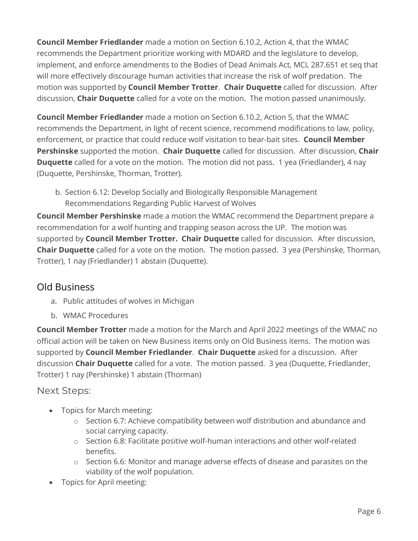**Council Member Friedlander** made a motion on Section 6.10.2, Action 4, that the WMAC recommends the Department prioritize working with MDARD and the legislature to develop, implement, and enforce amendments to the Bodies of Dead Animals Act, MCL 287.651 et seq that will more effectively discourage human activities that increase the risk of wolf predation. The motion was supported by **Council Member Trotter**. **Chair Duquette** called for discussion. After discussion, **Chair Duquette** called for a vote on the motion. The motion passed unanimously.

**Council Member Friedlander** made a motion on Section 6.10.2, Action 5, that the WMAC recommends the Department, in light of recent science, recommend modifications to law, policy, enforcement, or practice that could reduce wolf visitation to bear-bait sites. **Council Member Pershinske** supported the motion. **Chair Duquette** called for discussion. After discussion, **Chair Duquette** called for a vote on the motion. The motion did not pass. 1 yea (Friedlander), 4 nay (Duquette, Pershinske, Thorman, Trotter).

b. Section 6.12: Develop Socially and Biologically Responsible Management Recommendations Regarding Public Harvest of Wolves

**Council Member Pershinske** made a motion the WMAC recommend the Department prepare a recommendation for a wolf hunting and trapping season across the UP. The motion was supported by **Council Member Trotter. Chair Duquette** called for discussion. After discussion, **Chair Duquette** called for a vote on the motion. The motion passed. 3 yea (Pershinske, Thorman, Trotter), 1 nay (Friedlander) 1 abstain (Duquette).

## Old Business

- a. Public attitudes of wolves in Michigan
- b. WMAC Procedures

**Council Member Trotter** made a motion for the March and April 2022 meetings of the WMAC no official action will be taken on New Business items only on Old Business items. The motion was supported by **Council Member Friedlander**. **Chair Duquette** asked for a discussion. After discussion **Chair Duquette** called for a vote. The motion passed. 3 yea (Duquette, Friedlander, Trotter) 1 nay (Pershinske) 1 abstain (Thorman)

## Next Steps:

- Topics for March meeting:
	- o Section 6.7: Achieve compatibility between wolf distribution and abundance and social carrying capacity.
	- o Section 6.8: Facilitate positive wolf-human interactions and other wolf-related benefits.
	- o Section 6.6: Monitor and manage adverse effects of disease and parasites on the viability of the wolf population.
- Topics for April meeting: